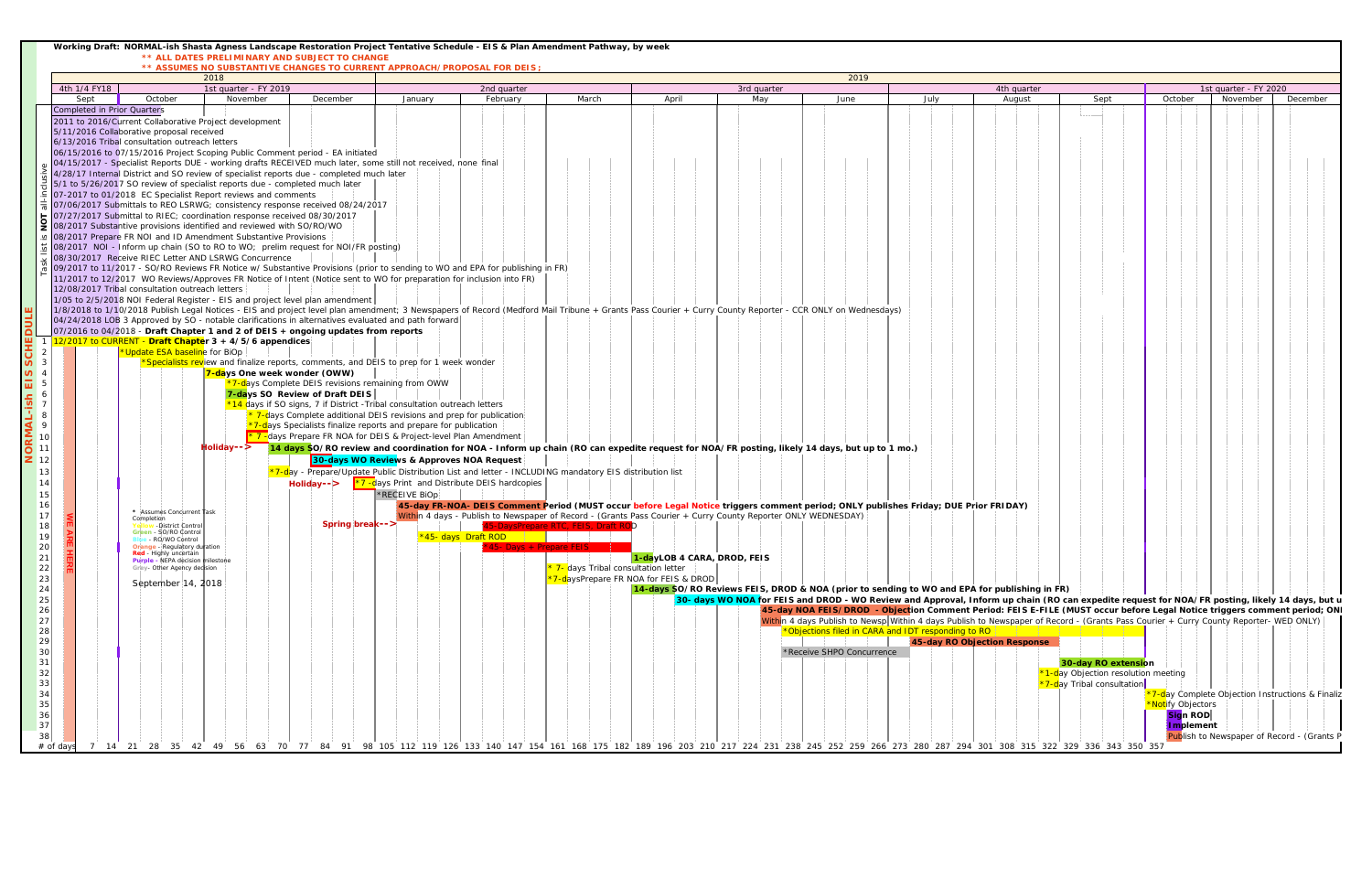|                                                                                                                                                                                                     |                                                            | Working Draft: NORMAL-ish Shasta Agness Landscape Restoration Project Tentative Schedule - EIS & Plan Amendment Pathway, by week                                                                                                                                                                                                                                                                                                                                                                                                                                                                                                                                                                                                                                                                                                                                                                                                                                                                                                                                                                                                                                                                                                                                                                                                                                                                                                                                                                                                                                                                                                                                                                                                                                                                                                                                                                                                                                                                                                                                                                                                                                                                                                |                                                                                 | ** ALL DATES PRELIMINARY AND SUBJECT TO CHANGE                                                                                    |                                                                                                                                                                                                                                                                                                                                                                                                                                                                     |                                                                  |                                                                                                                                                                                                                                                                                                                                                                                                                                                                                                                                                                                                                                                                                   |                                      |             |                                                                                                                                                                                                                                                                                                                                                                                                                                                                                                                                                                                                                 |                                      |                       |                                                                                                         |                       |          |                                                  |  |  |  |  |
|-----------------------------------------------------------------------------------------------------------------------------------------------------------------------------------------------------|------------------------------------------------------------|---------------------------------------------------------------------------------------------------------------------------------------------------------------------------------------------------------------------------------------------------------------------------------------------------------------------------------------------------------------------------------------------------------------------------------------------------------------------------------------------------------------------------------------------------------------------------------------------------------------------------------------------------------------------------------------------------------------------------------------------------------------------------------------------------------------------------------------------------------------------------------------------------------------------------------------------------------------------------------------------------------------------------------------------------------------------------------------------------------------------------------------------------------------------------------------------------------------------------------------------------------------------------------------------------------------------------------------------------------------------------------------------------------------------------------------------------------------------------------------------------------------------------------------------------------------------------------------------------------------------------------------------------------------------------------------------------------------------------------------------------------------------------------------------------------------------------------------------------------------------------------------------------------------------------------------------------------------------------------------------------------------------------------------------------------------------------------------------------------------------------------------------------------------------------------------------------------------------------------|---------------------------------------------------------------------------------|-----------------------------------------------------------------------------------------------------------------------------------|---------------------------------------------------------------------------------------------------------------------------------------------------------------------------------------------------------------------------------------------------------------------------------------------------------------------------------------------------------------------------------------------------------------------------------------------------------------------|------------------------------------------------------------------|-----------------------------------------------------------------------------------------------------------------------------------------------------------------------------------------------------------------------------------------------------------------------------------------------------------------------------------------------------------------------------------------------------------------------------------------------------------------------------------------------------------------------------------------------------------------------------------------------------------------------------------------------------------------------------------|--------------------------------------|-------------|-----------------------------------------------------------------------------------------------------------------------------------------------------------------------------------------------------------------------------------------------------------------------------------------------------------------------------------------------------------------------------------------------------------------------------------------------------------------------------------------------------------------------------------------------------------------------------------------------------------------|--------------------------------------|-----------------------|---------------------------------------------------------------------------------------------------------|-----------------------|----------|--------------------------------------------------|--|--|--|--|
|                                                                                                                                                                                                     |                                                            |                                                                                                                                                                                                                                                                                                                                                                                                                                                                                                                                                                                                                                                                                                                                                                                                                                                                                                                                                                                                                                                                                                                                                                                                                                                                                                                                                                                                                                                                                                                                                                                                                                                                                                                                                                                                                                                                                                                                                                                                                                                                                                                                                                                                                                 |                                                                                 |                                                                                                                                   | ** ASSUMES NO SUBSTANTIVE CHANGES TO CURRENT APPROACH/PROPOSAL FOR DEIS;                                                                                                                                                                                                                                                                                                                                                                                            |                                                                  |                                                                                                                                                                                                                                                                                                                                                                                                                                                                                                                                                                                                                                                                                   |                                      |             |                                                                                                                                                                                                                                                                                                                                                                                                                                                                                                                                                                                                                 |                                      |                       |                                                                                                         |                       |          |                                                  |  |  |  |  |
|                                                                                                                                                                                                     |                                                            | 2019<br>2018                                                                                                                                                                                                                                                                                                                                                                                                                                                                                                                                                                                                                                                                                                                                                                                                                                                                                                                                                                                                                                                                                                                                                                                                                                                                                                                                                                                                                                                                                                                                                                                                                                                                                                                                                                                                                                                                                                                                                                                                                                                                                                                                                                                                                    |                                                                                 |                                                                                                                                   |                                                                                                                                                                                                                                                                                                                                                                                                                                                                     |                                                                  |                                                                                                                                                                                                                                                                                                                                                                                                                                                                                                                                                                                                                                                                                   |                                      |             |                                                                                                                                                                                                                                                                                                                                                                                                                                                                                                                                                                                                                 |                                      |                       |                                                                                                         |                       |          |                                                  |  |  |  |  |
|                                                                                                                                                                                                     |                                                            |                                                                                                                                                                                                                                                                                                                                                                                                                                                                                                                                                                                                                                                                                                                                                                                                                                                                                                                                                                                                                                                                                                                                                                                                                                                                                                                                                                                                                                                                                                                                                                                                                                                                                                                                                                                                                                                                                                                                                                                                                                                                                                                                                                                                                                 |                                                                                 |                                                                                                                                   | 2nd quarter                                                                                                                                                                                                                                                                                                                                                                                                                                                         |                                                                  |                                                                                                                                                                                                                                                                                                                                                                                                                                                                                                                                                                                                                                                                                   |                                      | 3rd quarter |                                                                                                                                                                                                                                                                                                                                                                                                                                                                                                                                                                                                                 |                                      |                       |                                                                                                         | 1st quarter - FY 2020 |          |                                                  |  |  |  |  |
|                                                                                                                                                                                                     |                                                            |                                                                                                                                                                                                                                                                                                                                                                                                                                                                                                                                                                                                                                                                                                                                                                                                                                                                                                                                                                                                                                                                                                                                                                                                                                                                                                                                                                                                                                                                                                                                                                                                                                                                                                                                                                                                                                                                                                                                                                                                                                                                                                                                                                                                                                 |                                                                                 |                                                                                                                                   |                                                                                                                                                                                                                                                                                                                                                                                                                                                                     |                                                                  |                                                                                                                                                                                                                                                                                                                                                                                                                                                                                                                                                                                                                                                                                   |                                      |             |                                                                                                                                                                                                                                                                                                                                                                                                                                                                                                                                                                                                                 |                                      |                       |                                                                                                         |                       |          |                                                  |  |  |  |  |
| 10 <sup>1</sup><br>11<br>12<br>13<br>14 I<br>15 <sub>1</sub><br>18 <sup>1</sup><br>19<br>20 <sub>1</sub><br>21<br>22<br>23<br>24<br>25<br>26<br>27<br>28<br>29<br>30 <sup>°</sup><br>31<br>32<br>33 | 4th 1/4 FY18<br>Sept<br><b>Completed in Prior Quarters</b> | October<br>2011 to 2016/Current Collaborative Project development<br>5/11/2016 Collaborative proposal received<br>6/13/2016 Tribal consultation outreach letters<br>06/15/2016 to 07/15/2016 Project Scoping Public Comment period - EA initiated<br>04/15/2017 - Specialist Reports DUE - working drafts RECEIVED much later, some still not received, none final<br>4/28/17 Internal District and SO review of specialist reports due - completed much later<br>5/1 to 5/26/2017 SO review of specialist reports due - completed much later<br>07-2017 to 01/2018 EC Specialist Report reviews and comments<br>07/06/2017 Submittals to REO LSRWG; consistency response received 08/24/2017<br>07/27/2017 Submittal to RIEC; coordination response received 08/30/2017<br>08/2017 Substantive provisions identified and reviewed with SO/RO/WO<br>208/2017 Prepare FR NOI and ID Amendment Substantive Provisions<br>08/2017 NOI - Inform up chain (SO to RO to WO; prelim request for NOI/FR posting)<br>08/30/2017 Receive RIEC Letter AND LSRWG Concurrence<br>09/2017 to 11/2017 - SO/RO Reviews FR Notice w/ Substantive Provisions (prior to sending to WO and EPA for publishing in FR)<br>11/2017 to 12/2017 WO Reviews/Approves FR Notice of Intent (Notice sent to WO for preparation for inclusion into FR)<br>12/08/2017 Tribal consultation outreach letters<br>1/05 to 2/5/2018 NOI Federal Register - EIS and project level plan amendment<br>1/8/2018 to 1/10/2018 Publish Legal Notices - EIS and project level plan amendment; 3 Newspapers of Record (Medford Mail Tribune + Grants Pass Courier + Curry County Reporter - CCR ONLY on Wednesdays)<br>04/24/2018 LOB 3 Approved by SO - notable clarifications in alternatives evaluated and path forward<br>07/2016 to 04/2018 - Draft Chapter 1 and 2 of DEIS + ongoing updates from reports<br>1 12/2017 to CURRENT - Draft Chapter 3 + 4/5/6 appendices<br>*Update ESA baseline for BiOp<br>* Assumes Concurrent Task<br>Completion<br>-District Control<br>Green - SO/RO Control<br>RO/WO Control<br>Orange - Regulatory duration<br>Red - Highly uncertain<br>Purple - NEPA decision milestone<br>Griey- Other Agency decision<br>September 14, 2018 | 1st quarter - FY 2019<br>November<br>7-days One week wonder (OWW)<br>Holiday--> | December<br>*7-days Complete DEIS revisions remaining from OWW<br>7-days SO Review of Draft DEIS<br>Holidav--><br>Spring break--> | January<br><b>*Specialists revi</b> ew and finalize reports, comments, and DEIS to prep for 1 week wonder<br>*14 days if SO signs, 7 if District -Tribal consultation outreach letters<br>7-days Complete additional DEIS revisions and prep for publication<br>*7-days Specialists finalize reports and prepare for publication<br>* 7 - days Prepare FR NOA for DEIS & Project-level Plan Amendment<br>30-days WO Reviews & Approves NOA Request<br>*RECEIVE BiOp | February<br><b>*7 -days Print and Distribute DEIS hardcopies</b> | March<br>14 days SO/RO review and coordination for NOA - Inform up chain (RO can expedite request for NOA/FR posting, likely 14 days, but up to 1 mo.)<br>*7-day - Prepare/Update Public Distribution List and letter - INCLUDING mandatory EIS distribution list<br>45-day FR-NOA- DEIS Comment Period (MUST occur before Legal Notice triggers comment period; ONLY publishes Friday; DUE Prior FRIDAY)<br>Within 4 days - Publish to Newspaper of Record - (Grants Pass Courier + Curry County Reporter ONLY WEDNESDAY)<br>15-DaysPrepare RTC, FEIS, Draft ROI<br>45- Davs + Prepare FEIS + 1<br>* 7- days Tribal consultation letter<br>*7-daysPrepare FR NOA for FEIS & DROD | April<br>1-dayLOB 4 CARA, DROD, FEIS | May         | June<br>14-days SO/RO Reviews FEIS, DROD & NOA (prior to sending to WO and EPA for publishing in FR)<br>30- days WO NOA for FEIS and DROD - WO Review and Approval, Inform up chain (RO can expedite request for NOA/FR posting, likely 14 days, but u<br>45-day NOA FEIS/DROD - Objection Comment Period: FEIS E-FILE (MUST occur before Legal Notice triggers comment period; ONI<br>Within 4 days Publish to Newsp Within 4 days Publish to Newspaper of Record - (Grants Pass Courier + Curry County Reporter- WED ONLY)<br>*Objections filed in CARA and IDT responding to RO<br>*Receive SHPO Concurrence | July<br>45-day RO Objection Response | 4th quarter<br>August | Sept<br>30-day RO extension<br>*1-day Objection resolution meeting<br><b>*7-day Tribal consultation</b> | October               | November | December                                         |  |  |  |  |
| 34                                                                                                                                                                                                  |                                                            |                                                                                                                                                                                                                                                                                                                                                                                                                                                                                                                                                                                                                                                                                                                                                                                                                                                                                                                                                                                                                                                                                                                                                                                                                                                                                                                                                                                                                                                                                                                                                                                                                                                                                                                                                                                                                                                                                                                                                                                                                                                                                                                                                                                                                                 |                                                                                 |                                                                                                                                   |                                                                                                                                                                                                                                                                                                                                                                                                                                                                     |                                                                  |                                                                                                                                                                                                                                                                                                                                                                                                                                                                                                                                                                                                                                                                                   |                                      |             |                                                                                                                                                                                                                                                                                                                                                                                                                                                                                                                                                                                                                 |                                      |                       |                                                                                                         |                       |          | *7-day Complete Objection Instructions & Finaliz |  |  |  |  |
| 35                                                                                                                                                                                                  |                                                            |                                                                                                                                                                                                                                                                                                                                                                                                                                                                                                                                                                                                                                                                                                                                                                                                                                                                                                                                                                                                                                                                                                                                                                                                                                                                                                                                                                                                                                                                                                                                                                                                                                                                                                                                                                                                                                                                                                                                                                                                                                                                                                                                                                                                                                 |                                                                                 |                                                                                                                                   |                                                                                                                                                                                                                                                                                                                                                                                                                                                                     |                                                                  |                                                                                                                                                                                                                                                                                                                                                                                                                                                                                                                                                                                                                                                                                   |                                      |             |                                                                                                                                                                                                                                                                                                                                                                                                                                                                                                                                                                                                                 |                                      |                       |                                                                                                         | *Notify Objectors     |          |                                                  |  |  |  |  |
| 36                                                                                                                                                                                                  |                                                            |                                                                                                                                                                                                                                                                                                                                                                                                                                                                                                                                                                                                                                                                                                                                                                                                                                                                                                                                                                                                                                                                                                                                                                                                                                                                                                                                                                                                                                                                                                                                                                                                                                                                                                                                                                                                                                                                                                                                                                                                                                                                                                                                                                                                                                 |                                                                                 |                                                                                                                                   |                                                                                                                                                                                                                                                                                                                                                                                                                                                                     |                                                                  |                                                                                                                                                                                                                                                                                                                                                                                                                                                                                                                                                                                                                                                                                   |                                      |             |                                                                                                                                                                                                                                                                                                                                                                                                                                                                                                                                                                                                                 |                                      |                       |                                                                                                         | Sign ROD              |          |                                                  |  |  |  |  |
| 37<br>38                                                                                                                                                                                            |                                                            |                                                                                                                                                                                                                                                                                                                                                                                                                                                                                                                                                                                                                                                                                                                                                                                                                                                                                                                                                                                                                                                                                                                                                                                                                                                                                                                                                                                                                                                                                                                                                                                                                                                                                                                                                                                                                                                                                                                                                                                                                                                                                                                                                                                                                                 |                                                                                 |                                                                                                                                   |                                                                                                                                                                                                                                                                                                                                                                                                                                                                     |                                                                  |                                                                                                                                                                                                                                                                                                                                                                                                                                                                                                                                                                                                                                                                                   |                                      |             |                                                                                                                                                                                                                                                                                                                                                                                                                                                                                                                                                                                                                 |                                      |                       |                                                                                                         | Implement             |          | Publish to Newspaper of Record - (Grants P       |  |  |  |  |
| $#$ of days                                                                                                                                                                                         |                                                            | 7 14 21 28 35 42 49 56 63 70 77 84 91 98 105 112 119 126 133 140 147 154 161 168 175 182 189 196 203 210 217 224 231 238 245 252 259 266 273 280 287 294 301 308 315 322 329 336 343 350 357                                                                                                                                                                                                                                                                                                                                                                                                                                                                                                                                                                                                                                                                                                                                                                                                                                                                                                                                                                                                                                                                                                                                                                                                                                                                                                                                                                                                                                                                                                                                                                                                                                                                                                                                                                                                                                                                                                                                                                                                                                    |                                                                                 |                                                                                                                                   |                                                                                                                                                                                                                                                                                                                                                                                                                                                                     |                                                                  |                                                                                                                                                                                                                                                                                                                                                                                                                                                                                                                                                                                                                                                                                   |                                      |             |                                                                                                                                                                                                                                                                                                                                                                                                                                                                                                                                                                                                                 |                                      |                       |                                                                                                         |                       |          |                                                  |  |  |  |  |
|                                                                                                                                                                                                     |                                                            |                                                                                                                                                                                                                                                                                                                                                                                                                                                                                                                                                                                                                                                                                                                                                                                                                                                                                                                                                                                                                                                                                                                                                                                                                                                                                                                                                                                                                                                                                                                                                                                                                                                                                                                                                                                                                                                                                                                                                                                                                                                                                                                                                                                                                                 |                                                                                 |                                                                                                                                   |                                                                                                                                                                                                                                                                                                                                                                                                                                                                     |                                                                  |                                                                                                                                                                                                                                                                                                                                                                                                                                                                                                                                                                                                                                                                                   |                                      |             |                                                                                                                                                                                                                                                                                                                                                                                                                                                                                                                                                                                                                 |                                      |                       |                                                                                                         |                       |          |                                                  |  |  |  |  |